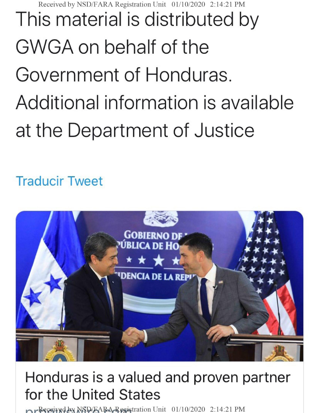Received by NSD/FARA Registration Unit 01/10/2020 2:14:21 PM This material is distributed by GWGA on behalf of the Government of Honduras. Additional information is available at the Department of Justice

## Traducir Tweet



## **Honduras is a valued and proven partner for the United States**

**Received by NSD/FARA Registration Unit 01/10/2020 2:14:21 PM**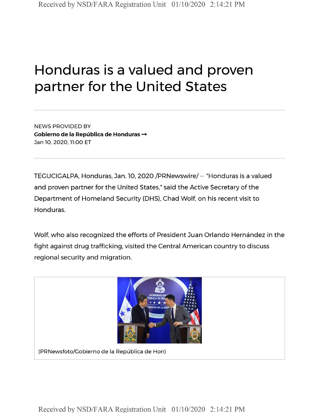## **Honduras is a valued and proven partner for the United States**

**NEWS PROVIDED BY Cobierno de la Republica de Honduras — Jan 10, 2020,11:00 ET**

TEGUCIGALPA, Honduras, Jan. 10, 2020 /PRNewswire/- "Honduras is a valued and proven partner for the United States," said the Active Secretary of the Department of Homeland Security (DHS), Chad Wolf, on his recent visit to Honduras.

Wolf, who also recognized the efforts of President Juan Orlando Hernández in the fight against drug trafficking, visited the Central American country to discuss regional security and migration.



Received by NSD/FARA Registration Unit 01/10/2020 2:14:21 PM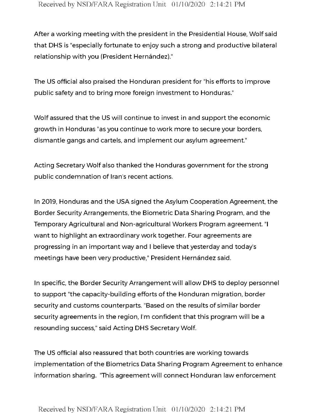After a working meeting with the president in the Presidential House, Wolfsaid that DHS is "especially fortunate to enjoy such a strong and productive bilateral relationship with you (President Hernández)."

The US official also praised the Honduran president for "his efforts to improve public safety and to bring more foreign investment to Honduras."

Wolf assured that the US will continue to invest in and support the economic growth in Honduras "as you continue to work more to secure your borders, dismantle gangs and cartels, and implement our asylum agreement."

Acting Secretary Wolf also thanked the Honduras government for the strong public condemnation of Iran's recent actions.

In 2019, Honduras and the USA signed the Asylum Cooperation Agreement, the Border Security Arrangements, the Biometric Data Sharing Program, and the Temporary Agricultural and Non-agricultural Workers Program agreement. "I want to highlight an extraordinary work together. Four agreements are progressing in an important way and <sup>I</sup> believe that yesterday and today's meetings have been very productive," President Hernández said.

In specific, the Border Security Arrangement will allow DHS to deploy personnel to support "the capacity-building efforts of the Honduran migration, border security and customs counterparts. "Based on the results of similar border security agreements in the region, I'm confident that this program will be a resounding success," said Acting DHS Secretary Wolf.

The US official also reassured that both countries are working towards implementation of the Biometrics Data Sharing Program Agreement to enhance information sharing. "This agreement will connect Honduran law enforcement